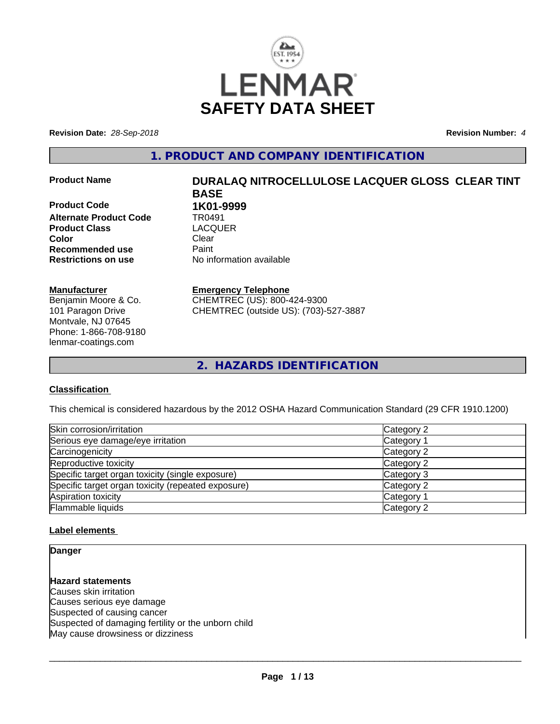

**Revision Date:** *28-Sep-2018* **Revision Number:** *4*

## **1. PRODUCT AND COMPANY IDENTIFICATION**

**Product Code 1K01-9999**<br>**Alternate Product Code 1R0491 Alternate Product Code TR0491<br>Product Class Code CLACQUER Product Class Color** Clear Clear **Recommended use** Paint<br> **Restrictions on use** Mo information available **Restrictions on use** 

## **Manufacturer**

Benjamin Moore & Co. 101 Paragon Drive Montvale, NJ 07645 Phone: 1-866-708-9180 lenmar-coatings.com

# **Product Name DURALAQ NITROCELLULOSE LACQUER GLOSS CLEAR TINT BASE**

## **Emergency Telephone**

CHEMTREC (US): 800-424-9300 CHEMTREC (outside US): (703)-527-3887

**2. HAZARDS IDENTIFICATION**

## **Classification**

This chemical is considered hazardous by the 2012 OSHA Hazard Communication Standard (29 CFR 1910.1200)

| Skin corrosion/irritation                          | Category 2 |
|----------------------------------------------------|------------|
| Serious eye damage/eye irritation                  | Category 1 |
| Carcinogenicity                                    | Category 2 |
| Reproductive toxicity                              | Category 2 |
| Specific target organ toxicity (single exposure)   | Category 3 |
| Specific target organ toxicity (repeated exposure) | Category 2 |
| Aspiration toxicity                                | Category 1 |
| Flammable liquids                                  | Category 2 |

## **Label elements**

**Danger**

**Hazard statements** Causes skin irritation Causes serious eye damage Suspected of causing cancer Suspected of damaging fertility or the unborn child May cause drowsiness or dizziness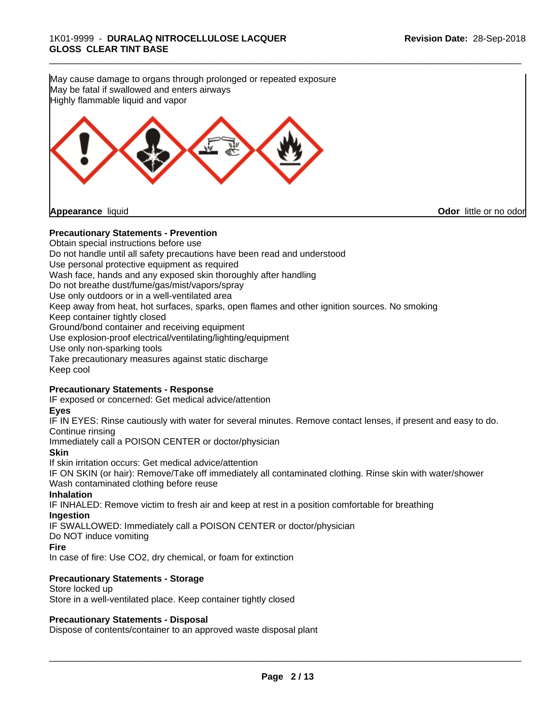**Precautionary Statements - Prevention** Obtain special instructions before use May cause damage to organs through prolonged or repeated exposure May be fatal if swallowed and enters airways Highly flammable liquid and vapor **Appearance** liquid **Odor** little or no odor

\_\_\_\_\_\_\_\_\_\_\_\_\_\_\_\_\_\_\_\_\_\_\_\_\_\_\_\_\_\_\_\_\_\_\_\_\_\_\_\_\_\_\_\_\_\_\_\_\_\_\_\_\_\_\_\_\_\_\_\_\_\_\_\_\_\_\_\_\_\_\_\_\_\_\_\_\_\_\_\_\_\_\_\_\_\_\_\_\_\_\_\_\_

Do not handle until all safety precautions have been read and understood Use personal protective equipment as required Wash face, hands and any exposed skin thoroughly after handling Do not breathe dust/fume/gas/mist/vapors/spray Use only outdoors or in a well-ventilated area Keep away from heat, hot surfaces, sparks, open flames and other ignition sources. No smoking Keep container tightly closed Ground/bond container and receiving equipment Use explosion-proof electrical/ventilating/lighting/equipment Use only non-sparking tools Take precautionary measures against static discharge Keep cool

## **Precautionary Statements - Response**

IF exposed or concerned: Get medical advice/attention

## **Eyes**

IF IN EYES: Rinse cautiously with water for several minutes. Remove contact lenses, if present and easy to do. Continue rinsing

Immediately call a POISON CENTER or doctor/physician

**Skin**

If skin irritation occurs: Get medical advice/attention IF ON SKIN (or hair): Remove/Take off immediately all contaminated clothing. Rinse skin with water/shower

Wash contaminated clothing before reuse

## **Inhalation**

IF INHALED: Remove victim to fresh air and keep at rest in a position comfortable for breathing **Ingestion**

IF SWALLOWED: Immediately call a POISON CENTER or doctor/physician

Do NOT induce vomiting

## **Fire**

In case of fire: Use CO2, dry chemical, or foam for extinction

## **Precautionary Statements - Storage**

Store locked up Store in a well-ventilated place. Keep container tightly closed

## **Precautionary Statements - Disposal**

Dispose of contents/container to an approved waste disposal plant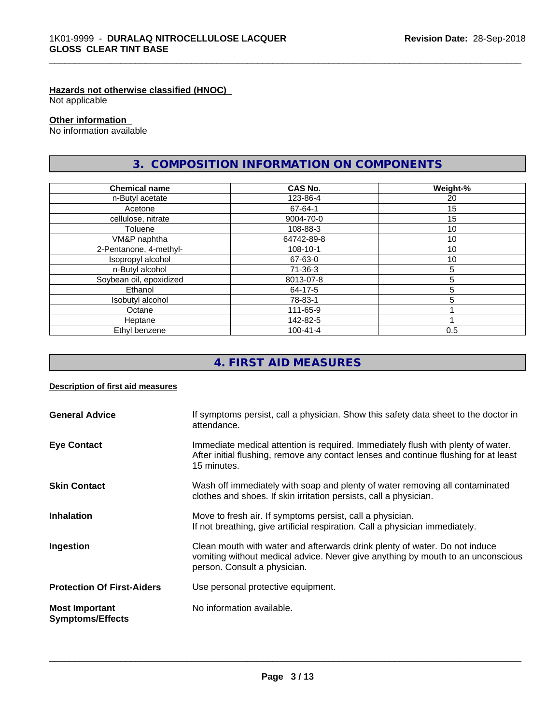## **Hazards not otherwise classified (HNOC)**

Not applicable

#### **Other information**

No information available

## **3. COMPOSITION INFORMATION ON COMPONENTS**

\_\_\_\_\_\_\_\_\_\_\_\_\_\_\_\_\_\_\_\_\_\_\_\_\_\_\_\_\_\_\_\_\_\_\_\_\_\_\_\_\_\_\_\_\_\_\_\_\_\_\_\_\_\_\_\_\_\_\_\_\_\_\_\_\_\_\_\_\_\_\_\_\_\_\_\_\_\_\_\_\_\_\_\_\_\_\_\_\_\_\_\_\_

| <b>Chemical name</b>    | <b>CAS No.</b> | Weight-%        |
|-------------------------|----------------|-----------------|
| n-Butyl acetate         | 123-86-4       | 20              |
| Acetone                 | 67-64-1        | 15              |
| cellulose, nitrate      | 9004-70-0      | 15              |
| Toluene                 | 108-88-3       | 10              |
| VM&P naphtha            | 64742-89-8     | 10 <sup>°</sup> |
| 2-Pentanone, 4-methyl-  | 108-10-1       | 10              |
| Isopropyl alcohol       | 67-63-0        | 10              |
| n-Butyl alcohol         | 71-36-3        | 5               |
| Soybean oil, epoxidized | 8013-07-8      | 5               |
| Ethanol                 | 64-17-5        |                 |
| Isobutyl alcohol        | 78-83-1        | 5               |
| Octane                  | 111-65-9       |                 |
| Heptane                 | 142-82-5       |                 |
| Ethyl benzene           | $100 - 41 - 4$ | 0.5             |

## **4. FIRST AID MEASURES**

#### **Description of first aid measures**

| <b>General Advice</b>                            | If symptoms persist, call a physician. Show this safety data sheet to the doctor in<br>attendance.                                                                                            |
|--------------------------------------------------|-----------------------------------------------------------------------------------------------------------------------------------------------------------------------------------------------|
| <b>Eye Contact</b>                               | Immediate medical attention is required. Immediately flush with plenty of water.<br>After initial flushing, remove any contact lenses and continue flushing for at least<br>15 minutes.       |
| <b>Skin Contact</b>                              | Wash off immediately with soap and plenty of water removing all contaminated<br>clothes and shoes. If skin irritation persists, call a physician.                                             |
| <b>Inhalation</b>                                | Move to fresh air. If symptoms persist, call a physician.<br>If not breathing, give artificial respiration. Call a physician immediately.                                                     |
| Ingestion                                        | Clean mouth with water and afterwards drink plenty of water. Do not induce<br>vomiting without medical advice. Never give anything by mouth to an unconscious<br>person. Consult a physician. |
| <b>Protection Of First-Aiders</b>                | Use personal protective equipment.                                                                                                                                                            |
| <b>Most Important</b><br><b>Symptoms/Effects</b> | No information available.                                                                                                                                                                     |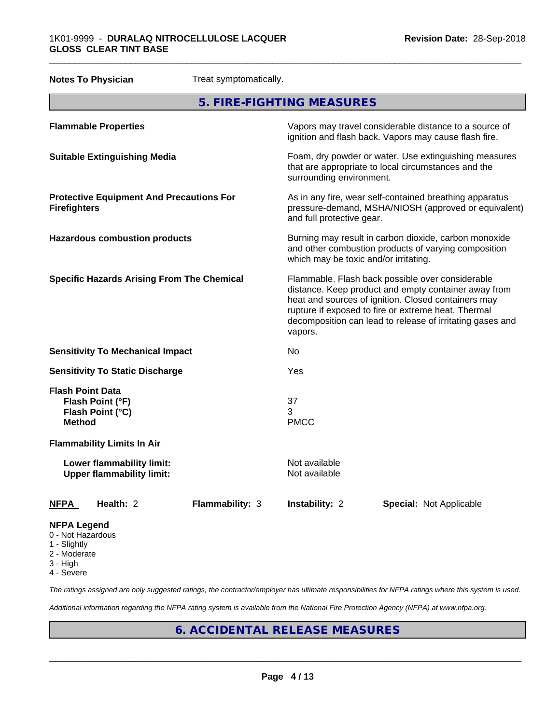|                                         | <b>Notes To Physician</b>                                       | Treat symptomatically. |                                       |                                                                                                                                                                                                                                                                                     |
|-----------------------------------------|-----------------------------------------------------------------|------------------------|---------------------------------------|-------------------------------------------------------------------------------------------------------------------------------------------------------------------------------------------------------------------------------------------------------------------------------------|
|                                         |                                                                 |                        | 5. FIRE-FIGHTING MEASURES             |                                                                                                                                                                                                                                                                                     |
|                                         | <b>Flammable Properties</b>                                     |                        |                                       | Vapors may travel considerable distance to a source of<br>ignition and flash back. Vapors may cause flash fire.                                                                                                                                                                     |
|                                         | <b>Suitable Extinguishing Media</b>                             |                        | surrounding environment.              | Foam, dry powder or water. Use extinguishing measures<br>that are appropriate to local circumstances and the                                                                                                                                                                        |
| <b>Firefighters</b>                     | <b>Protective Equipment And Precautions For</b>                 |                        | and full protective gear.             | As in any fire, wear self-contained breathing apparatus<br>pressure-demand, MSHA/NIOSH (approved or equivalent)                                                                                                                                                                     |
|                                         | <b>Hazardous combustion products</b>                            |                        | which may be toxic and/or irritating. | Burning may result in carbon dioxide, carbon monoxide<br>and other combustion products of varying composition                                                                                                                                                                       |
|                                         | <b>Specific Hazards Arising From The Chemical</b>               |                        | vapors.                               | Flammable. Flash back possible over considerable<br>distance. Keep product and empty container away from<br>heat and sources of ignition. Closed containers may<br>rupture if exposed to fire or extreme heat. Thermal<br>decomposition can lead to release of irritating gases and |
|                                         | <b>Sensitivity To Mechanical Impact</b>                         |                        | No                                    |                                                                                                                                                                                                                                                                                     |
|                                         | <b>Sensitivity To Static Discharge</b>                          |                        | Yes                                   |                                                                                                                                                                                                                                                                                     |
| <b>Method</b>                           | <b>Flash Point Data</b><br>Flash Point (°F)<br>Flash Point (°C) |                        | 37<br>3<br><b>PMCC</b>                |                                                                                                                                                                                                                                                                                     |
|                                         | <b>Flammability Limits In Air</b>                               |                        |                                       |                                                                                                                                                                                                                                                                                     |
|                                         | Lower flammability limit:<br><b>Upper flammability limit:</b>   |                        | Not available<br>Not available        |                                                                                                                                                                                                                                                                                     |
| <b>NFPA</b>                             | Health: 2                                                       | Flammability: 3        | Instability: 2                        | <b>Special: Not Applicable</b>                                                                                                                                                                                                                                                      |
| <b>NFPA Legend</b><br>0 - Not Hazardous |                                                                 |                        |                                       |                                                                                                                                                                                                                                                                                     |

\_\_\_\_\_\_\_\_\_\_\_\_\_\_\_\_\_\_\_\_\_\_\_\_\_\_\_\_\_\_\_\_\_\_\_\_\_\_\_\_\_\_\_\_\_\_\_\_\_\_\_\_\_\_\_\_\_\_\_\_\_\_\_\_\_\_\_\_\_\_\_\_\_\_\_\_\_\_\_\_\_\_\_\_\_\_\_\_\_\_\_\_\_

- 1 Slightly
- 2 Moderate
- 3 High
- 4 Severe

*The ratings assigned are only suggested ratings, the contractor/employer has ultimate responsibilities for NFPA ratings where this system is used.*

*Additional information regarding the NFPA rating system is available from the National Fire Protection Agency (NFPA) at www.nfpa.org.*

## **6. ACCIDENTAL RELEASE MEASURES**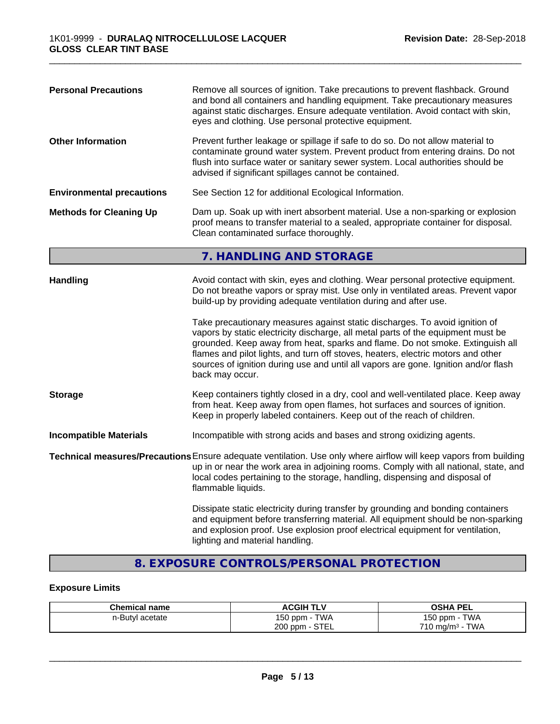| <b>Personal Precautions</b>      | Remove all sources of ignition. Take precautions to prevent flashback. Ground<br>and bond all containers and handling equipment. Take precautionary measures<br>against static discharges. Ensure adequate ventilation. Avoid contact with skin,<br>eyes and clothing. Use personal protective equipment.                                                                                                  |
|----------------------------------|------------------------------------------------------------------------------------------------------------------------------------------------------------------------------------------------------------------------------------------------------------------------------------------------------------------------------------------------------------------------------------------------------------|
| <b>Other Information</b>         | Prevent further leakage or spillage if safe to do so. Do not allow material to<br>contaminate ground water system. Prevent product from entering drains. Do not<br>flush into surface water or sanitary sewer system. Local authorities should be<br>advised if significant spillages cannot be contained.                                                                                                 |
| <b>Environmental precautions</b> | See Section 12 for additional Ecological Information.                                                                                                                                                                                                                                                                                                                                                      |
| <b>Methods for Cleaning Up</b>   | Dam up. Soak up with inert absorbent material. Use a non-sparking or explosion<br>proof means to transfer material to a sealed, appropriate container for disposal.<br>Clean contaminated surface thoroughly.                                                                                                                                                                                              |
|                                  | 7. HANDLING AND STORAGE                                                                                                                                                                                                                                                                                                                                                                                    |
| <b>Handling</b>                  | Avoid contact with skin, eyes and clothing. Wear personal protective equipment.<br>Do not breathe vapors or spray mist. Use only in ventilated areas. Prevent vapor<br>build-up by providing adequate ventilation during and after use.<br>Take precautionary measures against static discharges. To avoid ignition of<br>vapors by static electricity discharge, all metal parts of the equipment must be |
|                                  | grounded. Keep away from heat, sparks and flame. Do not smoke. Extinguish all<br>flames and pilot lights, and turn off stoves, heaters, electric motors and other<br>sources of ignition during use and until all vapors are gone. Ignition and/or flash<br>back may occur.                                                                                                                                |
| <b>Storage</b>                   | Keep containers tightly closed in a dry, cool and well-ventilated place. Keep away<br>from heat. Keep away from open flames, hot surfaces and sources of ignition.<br>Keep in properly labeled containers. Keep out of the reach of children.                                                                                                                                                              |
| <b>Incompatible Materials</b>    | Incompatible with strong acids and bases and strong oxidizing agents.                                                                                                                                                                                                                                                                                                                                      |
|                                  | Technical measures/Precautions Ensure adequate ventilation. Use only where airflow will keep vapors from building<br>up in or near the work area in adjoining rooms. Comply with all national, state, and<br>local codes pertaining to the storage, handling, dispensing and disposal of<br>flammable liquids.                                                                                             |
|                                  | Dissipate static electricity during transfer by grounding and bonding containers<br>and equipment before transferring material. All equipment should be non-sparking<br>and explosion proof. Use explosion proof electrical equipment for ventilation,<br>lighting and material handling.                                                                                                                  |

\_\_\_\_\_\_\_\_\_\_\_\_\_\_\_\_\_\_\_\_\_\_\_\_\_\_\_\_\_\_\_\_\_\_\_\_\_\_\_\_\_\_\_\_\_\_\_\_\_\_\_\_\_\_\_\_\_\_\_\_\_\_\_\_\_\_\_\_\_\_\_\_\_\_\_\_\_\_\_\_\_\_\_\_\_\_\_\_\_\_\_\_\_

## **8. EXPOSURE CONTROLS/PERSONAL PROTECTION**

## **Exposure Limits**

| <b>Chemical name</b> | <b>ACGIH TLV</b>         | <b>PEL</b><br>OSHA                   |
|----------------------|--------------------------|--------------------------------------|
| n-Butyl acetate      | 150 ppm -<br><b>TWA</b>  | <b>TWA</b><br>$150$ ppm $-$          |
|                      | <b>STEL</b><br>$200$ ppm | <b>TWA</b><br>$710 \text{ mg/m}^3$ - |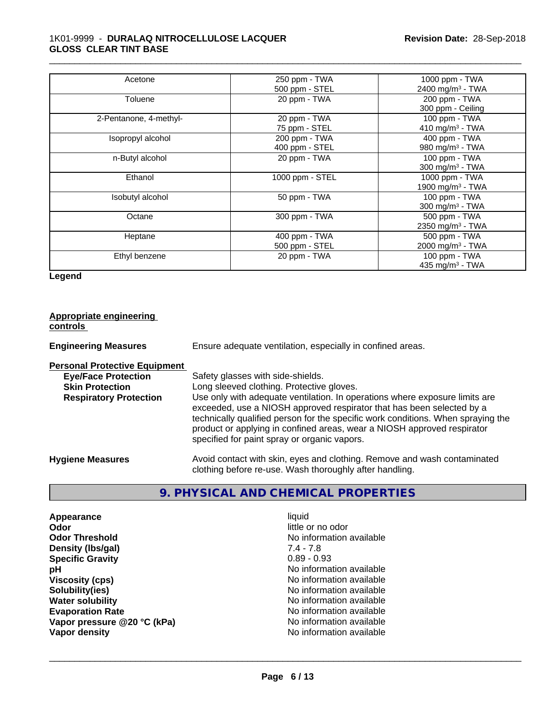## 1K01-9999 - **DURALAQ NITROCELLULOSE LACQUER GLOSS CLEAR TINT BASE**

| Acetone                | 250 ppm - TWA   | 1000 ppm - TWA               |
|------------------------|-----------------|------------------------------|
|                        | 500 ppm - STEL  | 2400 mg/m <sup>3</sup> - TWA |
| Toluene                | 20 ppm - TWA    | 200 ppm - TWA                |
|                        |                 | 300 ppm - Ceiling            |
| 2-Pentanone, 4-methyl- | 20 ppm - TWA    | 100 ppm - TWA                |
|                        | 75 ppm - STEL   | 410 mg/m $3$ - TWA           |
| Isopropyl alcohol      | 200 ppm - TWA   | 400 ppm - TWA                |
|                        | 400 ppm - STEL  | 980 mg/m <sup>3</sup> - TWA  |
| n-Butyl alcohol        | 20 ppm - TWA    | 100 ppm - TWA                |
|                        |                 | 300 mg/m <sup>3</sup> - TWA  |
| Ethanol                | 1000 ppm - STEL | 1000 ppm - TWA               |
|                        |                 | 1900 mg/m <sup>3</sup> - TWA |
| Isobutyl alcohol       | 50 ppm - TWA    | 100 ppm - $TWA$              |
|                        |                 | 300 mg/m <sup>3</sup> - TWA  |
| Octane                 | 300 ppm - TWA   | 500 ppm - TWA                |
|                        |                 | 2350 mg/m <sup>3</sup> - TWA |
| Heptane                | 400 ppm - TWA   | 500 ppm - TWA                |
|                        | 500 ppm - STEL  | 2000 mg/m <sup>3</sup> - TWA |
| Ethyl benzene          | 20 ppm - TWA    | 100 ppm - TWA                |
|                        |                 | 435 mg/m <sup>3</sup> - TWA  |

\_\_\_\_\_\_\_\_\_\_\_\_\_\_\_\_\_\_\_\_\_\_\_\_\_\_\_\_\_\_\_\_\_\_\_\_\_\_\_\_\_\_\_\_\_\_\_\_\_\_\_\_\_\_\_\_\_\_\_\_\_\_\_\_\_\_\_\_\_\_\_\_\_\_\_\_\_\_\_\_\_\_\_\_\_\_\_\_\_\_\_\_\_

**Legend**

| <b>Appropriate engineering</b><br>controls                                                                                    |                                                                                                                                                                                                                                                                                                                                                                                                                                                       |
|-------------------------------------------------------------------------------------------------------------------------------|-------------------------------------------------------------------------------------------------------------------------------------------------------------------------------------------------------------------------------------------------------------------------------------------------------------------------------------------------------------------------------------------------------------------------------------------------------|
| <b>Engineering Measures</b>                                                                                                   | Ensure adequate ventilation, especially in confined areas.                                                                                                                                                                                                                                                                                                                                                                                            |
| <b>Personal Protective Equipment</b><br><b>Eye/Face Protection</b><br><b>Skin Protection</b><br><b>Respiratory Protection</b> | Safety glasses with side-shields.<br>Long sleeved clothing. Protective gloves.<br>Use only with adequate ventilation. In operations where exposure limits are<br>exceeded, use a NIOSH approved respirator that has been selected by a<br>technically qualified person for the specific work conditions. When spraying the<br>product or applying in confined areas, wear a NIOSH approved respirator<br>specified for paint spray or organic vapors. |
| <b>Hygiene Measures</b>                                                                                                       | Avoid contact with skin, eyes and clothing. Remove and wash contaminated<br>clothing before re-use. Wash thoroughly after handling.                                                                                                                                                                                                                                                                                                                   |

## **9. PHYSICAL AND CHEMICAL PROPERTIES**

| Appearance                  | liquid                   |
|-----------------------------|--------------------------|
| Odor                        | little or no odor        |
| <b>Odor Threshold</b>       | No information available |
| Density (Ibs/gal)           | $7.4 - 7.8$              |
| <b>Specific Gravity</b>     | $0.89 - 0.93$            |
| рH                          | No information available |
| <b>Viscosity (cps)</b>      | No information available |
| Solubility(ies)             | No information available |
| <b>Water solubility</b>     | No information available |
| <b>Evaporation Rate</b>     | No information available |
| Vapor pressure @20 °C (kPa) | No information available |
| Vapor density               | No information available |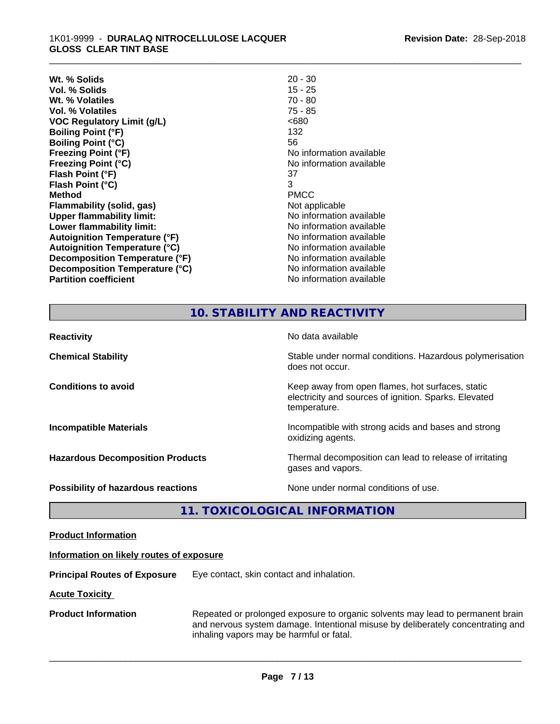| Wt. % Solids                         | $20 - 30$                |
|--------------------------------------|--------------------------|
| Vol. % Solids                        | 15 - 25                  |
| Wt. % Volatiles                      | $70 - 80$                |
| Vol. % Volatiles                     | $75 - 85$                |
| <b>VOC Regulatory Limit (g/L)</b>    | <680                     |
| <b>Boiling Point (°F)</b>            | 132                      |
| <b>Boiling Point (°C)</b>            | 56                       |
| <b>Freezing Point (°F)</b>           | No information available |
| <b>Freezing Point (°C)</b>           | No information available |
| Flash Point (°F)                     | 37                       |
| Flash Point (°C)                     | 3                        |
| <b>Method</b>                        | <b>PMCC</b>              |
| Flammability (solid, gas)            | Not applicable           |
| <b>Upper flammability limit:</b>     | No information available |
| Lower flammability limit:            | No information available |
| Autoignition Temperature (°F)        | No information available |
| <b>Autoignition Temperature (°C)</b> | No information available |
| Decomposition Temperature (°F)       | No information available |
| Decomposition Temperature (°C)       | No information available |
| <b>Partition coefficient</b>         | No information available |

## **10. STABILITY AND REACTIVITY**

\_\_\_\_\_\_\_\_\_\_\_\_\_\_\_\_\_\_\_\_\_\_\_\_\_\_\_\_\_\_\_\_\_\_\_\_\_\_\_\_\_\_\_\_\_\_\_\_\_\_\_\_\_\_\_\_\_\_\_\_\_\_\_\_\_\_\_\_\_\_\_\_\_\_\_\_\_\_\_\_\_\_\_\_\_\_\_\_\_\_\_\_\_

| <b>Reactivity</b>                         | No data available                                                                                                         |
|-------------------------------------------|---------------------------------------------------------------------------------------------------------------------------|
| <b>Chemical Stability</b>                 | Stable under normal conditions. Hazardous polymerisation<br>does not occur.                                               |
| <b>Conditions to avoid</b>                | Keep away from open flames, hot surfaces, static<br>electricity and sources of ignition. Sparks. Elevated<br>temperature. |
| <b>Incompatible Materials</b>             | Incompatible with strong acids and bases and strong<br>oxidizing agents.                                                  |
| <b>Hazardous Decomposition Products</b>   | Thermal decomposition can lead to release of irritating<br>gases and vapors.                                              |
| <b>Possibility of hazardous reactions</b> | None under normal conditions of use.                                                                                      |

## **11. TOXICOLOGICAL INFORMATION**

| <b>Product Information</b> |
|----------------------------|
|----------------------------|

## **Information on likely routes of exposure**

**Principal Routes of Exposure** Eye contact, skin contact and inhalation.

**Acute Toxicity** 

**Product Information** Repeated or prolonged exposure to organic solvents may lead to permanent brain and nervous system damage. Intentional misuse by deliberately concentrating and inhaling vapors may be harmful or fatal.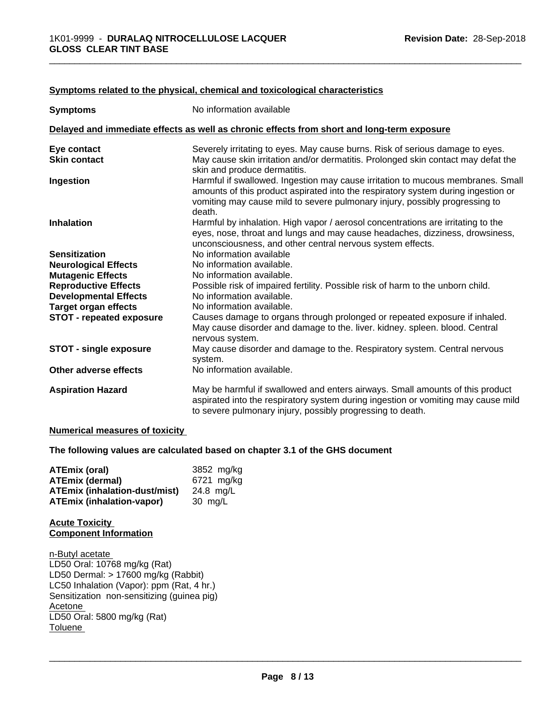| <b>Symptoms</b>                 | No information available                                                                                                                                                                                                                                      |
|---------------------------------|---------------------------------------------------------------------------------------------------------------------------------------------------------------------------------------------------------------------------------------------------------------|
|                                 | Delayed and immediate effects as well as chronic effects from short and long-term exposure                                                                                                                                                                    |
| Eye contact                     | Severely irritating to eyes. May cause burns. Risk of serious damage to eyes.                                                                                                                                                                                 |
| <b>Skin contact</b>             | May cause skin irritation and/or dermatitis. Prolonged skin contact may defat the<br>skin and produce dermatitis.                                                                                                                                             |
| Ingestion                       | Harmful if swallowed. Ingestion may cause irritation to mucous membranes. Small<br>amounts of this product aspirated into the respiratory system during ingestion or<br>vomiting may cause mild to severe pulmonary injury, possibly progressing to<br>death. |
| <b>Inhalation</b>               | Harmful by inhalation. High vapor / aerosol concentrations are irritating to the<br>eyes, nose, throat and lungs and may cause headaches, dizziness, drowsiness,<br>unconsciousness, and other central nervous system effects.                                |
| <b>Sensitization</b>            | No information available                                                                                                                                                                                                                                      |
| <b>Neurological Effects</b>     | No information available.                                                                                                                                                                                                                                     |
| <b>Mutagenic Effects</b>        | No information available.                                                                                                                                                                                                                                     |
| <b>Reproductive Effects</b>     | Possible risk of impaired fertility. Possible risk of harm to the unborn child.                                                                                                                                                                               |
| <b>Developmental Effects</b>    | No information available.                                                                                                                                                                                                                                     |
| <b>Target organ effects</b>     | No information available.                                                                                                                                                                                                                                     |
| <b>STOT - repeated exposure</b> | Causes damage to organs through prolonged or repeated exposure if inhaled.<br>May cause disorder and damage to the. liver. kidney. spleen. blood. Central<br>nervous system.                                                                                  |
| <b>STOT - single exposure</b>   | May cause disorder and damage to the. Respiratory system. Central nervous<br>system.                                                                                                                                                                          |
| Other adverse effects           | No information available.                                                                                                                                                                                                                                     |
| <b>Aspiration Hazard</b>        | May be harmful if swallowed and enters airways. Small amounts of this product<br>aspirated into the respiratory system during ingestion or vomiting may cause mild<br>to severe pulmonary injury, possibly progressing to death.                              |

## **Symptoms related to the physical,chemical and toxicological characteristics**

## **Numerical measures of toxicity**

**The following values are calculated based on chapter 3.1 of the GHS document**

| <b>ATEmix (oral)</b>                 | 3852 mg/kg |
|--------------------------------------|------------|
| <b>ATEmix (dermal)</b>               | 6721 mg/kg |
| <b>ATEmix (inhalation-dust/mist)</b> | 24.8 ma/L  |
| ATEmix (inhalation-vapor)            | 30 mg/L    |

#### **Acute Toxicity Component Information**

n-Butyl acetate LD50 Oral: 10768 mg/kg (Rat) LD50 Dermal: > 17600 mg/kg (Rabbit) LC50 Inhalation (Vapor): ppm (Rat, 4 hr.) Sensitization non-sensitizing (guinea pig) Acetone LD50 Oral: 5800 mg/kg (Rat) Toluene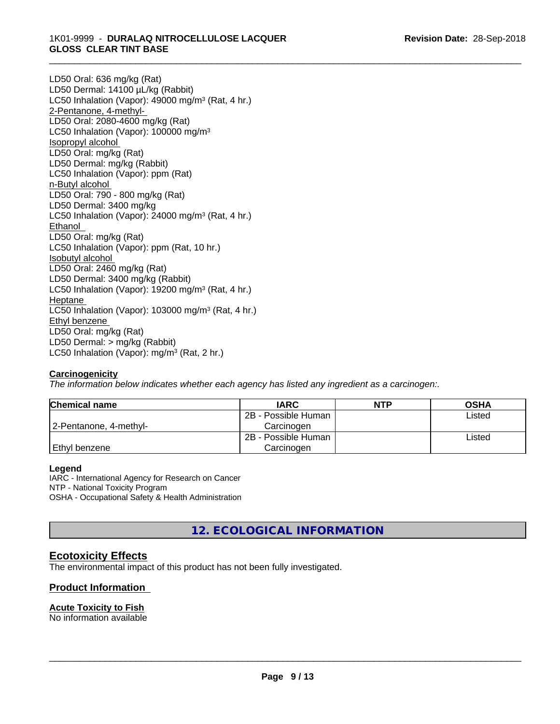## \_\_\_\_\_\_\_\_\_\_\_\_\_\_\_\_\_\_\_\_\_\_\_\_\_\_\_\_\_\_\_\_\_\_\_\_\_\_\_\_\_\_\_\_\_\_\_\_\_\_\_\_\_\_\_\_\_\_\_\_\_\_\_\_\_\_\_\_\_\_\_\_\_\_\_\_\_\_\_\_\_\_\_\_\_\_\_\_\_\_\_\_\_ 1K01-9999 - **DURALAQ NITROCELLULOSE LACQUER GLOSS CLEAR TINT BASE**

LD50 Oral: 636 mg/kg (Rat) LD50 Dermal: 14100 µL/kg (Rabbit) LC50 Inhalation (Vapor): 49000 mg/m<sup>3</sup> (Rat, 4 hr.) 2-Pentanone, 4-methyl-LD50 Oral: 2080-4600 mg/kg (Rat) LC50 Inhalation (Vapor): 100000 mg/m<sup>3</sup> Isopropyl alcohol LD50 Oral: mg/kg (Rat) LD50 Dermal: mg/kg (Rabbit) LC50 Inhalation (Vapor): ppm (Rat) n-Butyl alcohol LD50 Oral: 790 - 800 mg/kg (Rat) LD50 Dermal: 3400 mg/kg LC50 Inhalation (Vapor): 24000 mg/m<sup>3</sup> (Rat, 4 hr.) Ethanol LD50 Oral: mg/kg (Rat) LC50 Inhalation (Vapor): ppm (Rat, 10 hr.) Isobutyl alcohol LD50 Oral: 2460 mg/kg (Rat) LD50 Dermal: 3400 mg/kg (Rabbit) LC50 Inhalation (Vapor): 19200 mg/m<sup>3</sup> (Rat, 4 hr.) Heptane LC50 Inhalation (Vapor): 103000 mg/m<sup>3</sup> (Rat, 4 hr.) Ethyl benzene LD50 Oral: mg/kg (Rat) LD50 Dermal: > mg/kg (Rabbit) LC50 Inhalation (Vapor): mg/m<sup>3</sup> (Rat, 2 hr.)

## **Carcinogenicity**

*The information below indicateswhether each agency has listed any ingredient as a carcinogen:.*

| <b>Chemical name</b>   | <b>IARC</b>         | <b>NTP</b> | <b>OSHA</b> |
|------------------------|---------------------|------------|-------------|
|                        | 2B - Possible Human |            | Listed      |
| 2-Pentanone, 4-methyl- | Carcinoɑen          |            |             |
|                        | 2B - Possible Human |            | Listed      |
| <b>Ethyl benzene</b>   | Carcinoɑen          |            |             |

## **Legend**

IARC - International Agency for Research on Cancer NTP - National Toxicity Program OSHA - Occupational Safety & Health Administration

**12. ECOLOGICAL INFORMATION**

## **Ecotoxicity Effects**

The environmental impact of this product has not been fully investigated.

## **Product Information**

## **Acute Toxicity to Fish**

No information available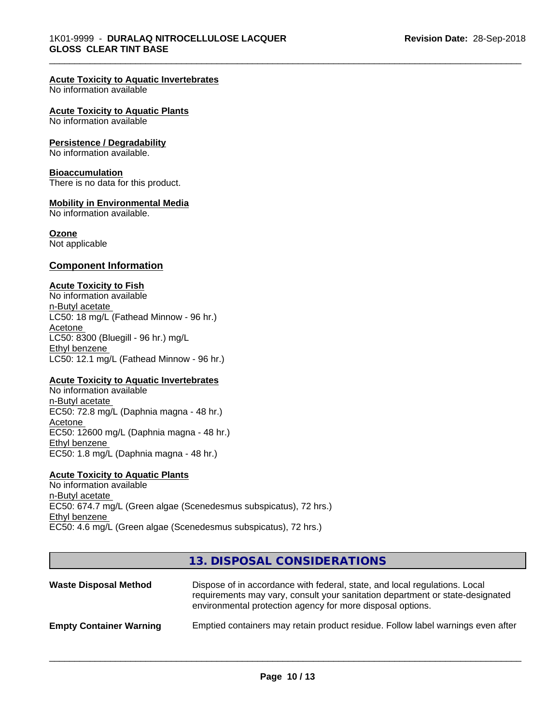### **Acute Toxicity to Aquatic Invertebrates**

No information available

#### **Acute Toxicity to Aquatic Plants**

No information available

#### **Persistence / Degradability**

No information available.

#### **Bioaccumulation**

There is no data for this product.

#### **Mobility in Environmental Media**

No information available.

#### **Ozone**

Not applicable

## **Component Information**

## **Acute Toxicity to Fish**

No information available n-Butyl acetate LC50: 18 mg/L (Fathead Minnow - 96 hr.) Acetone LC50: 8300 (Bluegill - 96 hr.) mg/L Ethyl benzene LC50: 12.1 mg/L (Fathead Minnow - 96 hr.)

## **Acute Toxicity to Aquatic Invertebrates**

No information available n-Butyl acetate EC50: 72.8 mg/L (Daphnia magna - 48 hr.) Acetone EC50: 12600 mg/L (Daphnia magna - 48 hr.) Ethyl benzene EC50: 1.8 mg/L (Daphnia magna - 48 hr.)

#### **Acute Toxicity to Aquatic Plants**

No information available n-Butyl acetate EC50: 674.7 mg/L (Green algae (Scenedesmus subspicatus), 72 hrs.) Ethyl benzene EC50: 4.6 mg/L (Green algae (Scenedesmus subspicatus), 72 hrs.)

## **13. DISPOSAL CONSIDERATIONS**

| <b>Waste Disposal Method</b>   | Dispose of in accordance with federal, state, and local regulations. Local<br>requirements may vary, consult your sanitation department or state-designated<br>environmental protection agency for more disposal options. |
|--------------------------------|---------------------------------------------------------------------------------------------------------------------------------------------------------------------------------------------------------------------------|
| <b>Empty Container Warning</b> | Emptied containers may retain product residue. Follow label warnings even after                                                                                                                                           |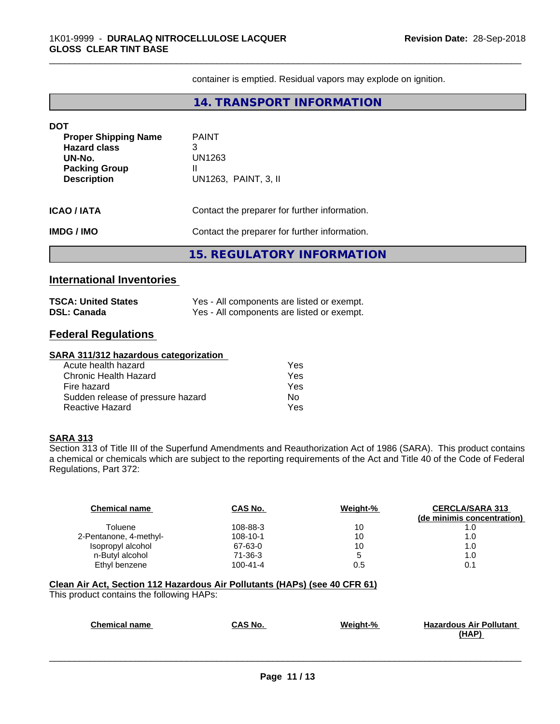container is emptied. Residual vapors may explode on ignition.

\_\_\_\_\_\_\_\_\_\_\_\_\_\_\_\_\_\_\_\_\_\_\_\_\_\_\_\_\_\_\_\_\_\_\_\_\_\_\_\_\_\_\_\_\_\_\_\_\_\_\_\_\_\_\_\_\_\_\_\_\_\_\_\_\_\_\_\_\_\_\_\_\_\_\_\_\_\_\_\_\_\_\_\_\_\_\_\_\_\_\_\_\_

## **14. TRANSPORT INFORMATION**

| <b>DOT</b><br><b>Proper Shipping Name</b><br><b>Hazard class</b><br>UN-No. | <b>PAINT</b><br>3<br>UN1263                   |
|----------------------------------------------------------------------------|-----------------------------------------------|
| <b>Packing Group</b><br><b>Description</b>                                 | UN1263, PAINT, 3, II                          |
| <b>ICAO/IATA</b>                                                           | Contact the preparer for further information. |
| <b>IMDG/IMO</b>                                                            | Contact the preparer for further information. |
|                                                                            | <b>15. REGULATORY INFORMATION</b>             |

## **International Inventories**

| <b>TSCA: United States</b> | Yes - All components are listed or exempt. |
|----------------------------|--------------------------------------------|
| <b>DSL: Canada</b>         | Yes - All components are listed or exempt. |

## **Federal Regulations**

#### **SARA 311/312 hazardous categorization**

| Acute health hazard               | Yes |
|-----------------------------------|-----|
| Chronic Health Hazard             | Yes |
| Fire hazard                       | Yes |
| Sudden release of pressure hazard | N٥  |
| Reactive Hazard                   | Yes |

## **SARA 313**

Section 313 of Title III of the Superfund Amendments and Reauthorization Act of 1986 (SARA). This product contains a chemical or chemicals which are subject to the reporting requirements of the Act and Title 40 of the Code of Federal Regulations, Part 372:

| <b>Chemical name</b>   | CAS No.        | Weight-% | <b>CERCLA/SARA 313</b><br>(de minimis concentration) |
|------------------------|----------------|----------|------------------------------------------------------|
| Toluene                | 108-88-3       | 10       | 1.0                                                  |
| 2-Pentanone, 4-methyl- | $108 - 10 - 1$ | 10       | 1.0                                                  |
| Isopropyl alcohol      | 67-63-0        | 10       | 1.0                                                  |
| n-Butyl alcohol        | $71-36-3$      |          | 1.0                                                  |
| Ethyl benzene          | $100 - 41 - 4$ | 0.5      | 0.1                                                  |

## **Clean Air Act,Section 112 Hazardous Air Pollutants (HAPs) (see 40 CFR 61)**

This product contains the following HAPs:

| <b>Chemical name</b> | CAS No. | Weight-% | <b>Hazardous Air Pollutant</b> |
|----------------------|---------|----------|--------------------------------|
|                      |         |          | (HAP)                          |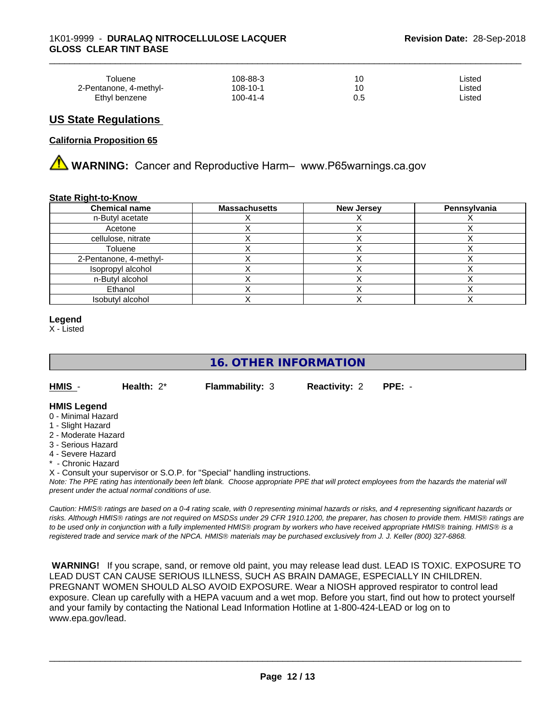| Toluene                | 108-88-3 | 10  | Listed |  |
|------------------------|----------|-----|--------|--|
| 2-Pentanone, 4-methyl- | 108-10-1 | 10  | Listed |  |
| Ethyl benzene          | 100-41-4 | U.O | Listed |  |

## **US State Regulations**

#### **California Proposition 65**

**AVIMARNING:** Cancer and Reproductive Harm– www.P65warnings.ca.gov

#### **State Right-to-Know**

| <b>Chemical name</b>   | <b>Massachusetts</b> | <b>New Jersey</b> | Pennsylvania |
|------------------------|----------------------|-------------------|--------------|
| n-Butyl acetate        |                      |                   |              |
| Acetone                |                      |                   |              |
| cellulose, nitrate     |                      |                   |              |
| Toluene                |                      |                   |              |
| 2-Pentanone, 4-methyl- |                      |                   |              |
| Isopropyl alcohol      |                      |                   |              |
| n-Butyl alcohol        |                      |                   |              |
| Ethanol                |                      |                   |              |
| Isobutyl alcohol       |                      |                   |              |

#### **Legend**

X - Listed

## **16. OTHER INFORMATION**

**HMIS** - **Health:** 2\* **Flammability:** 3 **Reactivity:** 2 **PPE:** -

#### **HMIS Legend**

- 0 Minimal Hazard
- 1 Slight Hazard
- 2 Moderate Hazard
- 3 Serious Hazard
- 4 Severe Hazard
- \* Chronic Hazard

X - Consult your supervisor or S.O.P. for "Special" handling instructions.

*Note: The PPE rating has intentionally been left blank. Choose appropriate PPE that will protect employees from the hazards the material will present under the actual normal conditions of use.*

*Caution: HMISÒ ratings are based on a 0-4 rating scale, with 0 representing minimal hazards or risks, and 4 representing significant hazards or risks. Although HMISÒ ratings are not required on MSDSs under 29 CFR 1910.1200, the preparer, has chosen to provide them. HMISÒ ratings are to be used only in conjunction with a fully implemented HMISÒ program by workers who have received appropriate HMISÒ training. HMISÒ is a registered trade and service mark of the NPCA. HMISÒ materials may be purchased exclusively from J. J. Keller (800) 327-6868.*

 **WARNING!** If you scrape, sand, or remove old paint, you may release lead dust. LEAD IS TOXIC. EXPOSURE TO LEAD DUST CAN CAUSE SERIOUS ILLNESS, SUCH AS BRAIN DAMAGE, ESPECIALLY IN CHILDREN. PREGNANT WOMEN SHOULD ALSO AVOID EXPOSURE.Wear a NIOSH approved respirator to control lead exposure. Clean up carefully with a HEPA vacuum and a wet mop. Before you start, find out how to protect yourself and your family by contacting the National Lead Information Hotline at 1-800-424-LEAD or log on to www.epa.gov/lead.